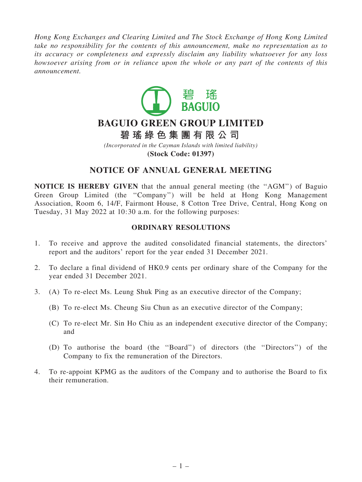*Hong Kong Exchanges and Clearing Limited and The Stock Exchange of Hong Kong Limited take no responsibility for the contents of this announcement, make no representation as to its accuracy or completeness and expressly disclaim any liability whatsoever for any loss howsoever arising from or in reliance upon the whole or any part of the contents of this announcement.*



# **BAGUIO GREEN GROUP LIMITED**

**碧 瑤 綠 色 集 團 有 限 公 司**

*(Incorporated in the Cayman Islands with limited liability)* **(Stock Code: 01397)**

## NOTICE OF ANNUAL GENERAL MEETING

NOTICE IS HEREBY GIVEN that the annual general meeting (the ''AGM'') of Baguio Green Group Limited (the ''Company'') will be held at Hong Kong Management Association, Room 6, 14/F, Fairmont House, 8 Cotton Tree Drive, Central, Hong Kong on Tuesday, 31 May 2022 at 10:30 a.m. for the following purposes:

### ORDINARY RESOLUTIONS

- 1. To receive and approve the audited consolidated financial statements, the directors' report and the auditors' report for the year ended 31 December 2021.
- 2. To declare a final dividend of HK0.9 cents per ordinary share of the Company for the year ended 31 December 2021.
- 3. (A) To re-elect Ms. Leung Shuk Ping as an executive director of the Company;
	- (B) To re-elect Ms. Cheung Siu Chun as an executive director of the Company;
	- (C) To re-elect Mr. Sin Ho Chiu as an independent executive director of the Company; and
	- (D) To authorise the board (the ''Board'') of directors (the ''Directors'') of the Company to fix the remuneration of the Directors.
- 4. To re-appoint KPMG as the auditors of the Company and to authorise the Board to fix their remuneration.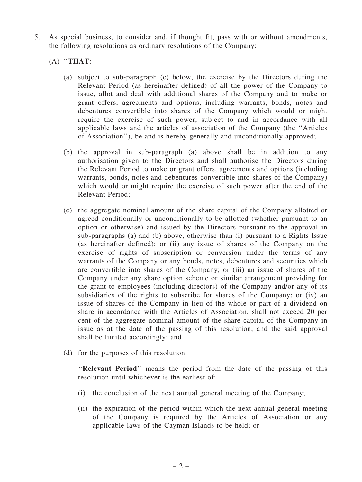- 5. As special business, to consider and, if thought fit, pass with or without amendments, the following resolutions as ordinary resolutions of the Company:
	- $(A)$  "THAT:
		- (a) subject to sub-paragraph (c) below, the exercise by the Directors during the Relevant Period (as hereinafter defined) of all the power of the Company to issue, allot and deal with additional shares of the Company and to make or grant offers, agreements and options, including warrants, bonds, notes and debentures convertible into shares of the Company which would or might require the exercise of such power, subject to and in accordance with all applicable laws and the articles of association of the Company (the ''Articles of Association''), be and is hereby generally and unconditionally approved;
		- (b) the approval in sub-paragraph (a) above shall be in addition to any authorisation given to the Directors and shall authorise the Directors during the Relevant Period to make or grant offers, agreements and options (including warrants, bonds, notes and debentures convertible into shares of the Company) which would or might require the exercise of such power after the end of the Relevant Period;
		- (c) the aggregate nominal amount of the share capital of the Company allotted or agreed conditionally or unconditionally to be allotted (whether pursuant to an option or otherwise) and issued by the Directors pursuant to the approval in sub-paragraphs (a) and (b) above, otherwise than (i) pursuant to a Rights Issue (as hereinafter defined); or (ii) any issue of shares of the Company on the exercise of rights of subscription or conversion under the terms of any warrants of the Company or any bonds, notes, debentures and securities which are convertible into shares of the Company; or (iii) an issue of shares of the Company under any share option scheme or similar arrangement providing for the grant to employees (including directors) of the Company and/or any of its subsidiaries of the rights to subscribe for shares of the Company; or (iv) an issue of shares of the Company in lieu of the whole or part of a dividend on share in accordance with the Articles of Association, shall not exceed 20 per cent of the aggregate nominal amount of the share capital of the Company in issue as at the date of the passing of this resolution, and the said approval shall be limited accordingly; and
		- (d) for the purposes of this resolution:

"Relevant Period" means the period from the date of the passing of this resolution until whichever is the earliest of:

- (i) the conclusion of the next annual general meeting of the Company;
- (ii) the expiration of the period within which the next annual general meeting of the Company is required by the Articles of Association or any applicable laws of the Cayman Islands to be held; or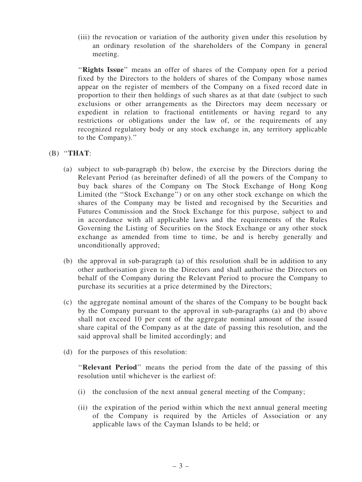(iii) the revocation or variation of the authority given under this resolution by an ordinary resolution of the shareholders of the Company in general meeting.

"Rights Issue" means an offer of shares of the Company open for a period fixed by the Directors to the holders of shares of the Company whose names appear on the register of members of the Company on a fixed record date in proportion to their then holdings of such shares as at that date (subject to such exclusions or other arrangements as the Directors may deem necessary or expedient in relation to fractional entitlements or having regard to any restrictions or obligations under the law of, or the requirements of any recognized regulatory body or any stock exchange in, any territory applicable to the Company).''

#### $(B)$  "THAT:

- (a) subject to sub-paragraph (b) below, the exercise by the Directors during the Relevant Period (as hereinafter defined) of all the powers of the Company to buy back shares of the Company on The Stock Exchange of Hong Kong Limited (the ''Stock Exchange'') or on any other stock exchange on which the shares of the Company may be listed and recognised by the Securities and Futures Commission and the Stock Exchange for this purpose, subject to and in accordance with all applicable laws and the requirements of the Rules Governing the Listing of Securities on the Stock Exchange or any other stock exchange as amended from time to time, be and is hereby generally and unconditionally approved;
- (b) the approval in sub-paragraph (a) of this resolution shall be in addition to any other authorisation given to the Directors and shall authorise the Directors on behalf of the Company during the Relevant Period to procure the Company to purchase its securities at a price determined by the Directors;
- (c) the aggregate nominal amount of the shares of the Company to be bought back by the Company pursuant to the approval in sub-paragraphs (a) and (b) above shall not exceed 10 per cent of the aggregate nominal amount of the issued share capital of the Company as at the date of passing this resolution, and the said approval shall be limited accordingly; and
- (d) for the purposes of this resolution:

"Relevant Period" means the period from the date of the passing of this resolution until whichever is the earliest of:

- (i) the conclusion of the next annual general meeting of the Company;
- (ii) the expiration of the period within which the next annual general meeting of the Company is required by the Articles of Association or any applicable laws of the Cayman Islands to be held; or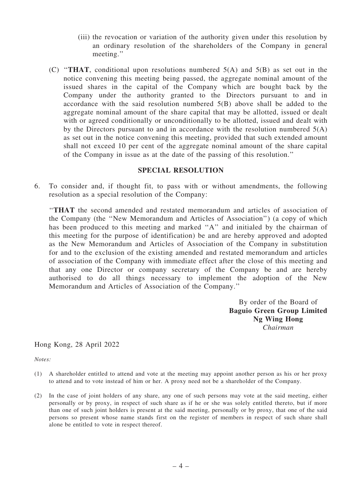- (iii) the revocation or variation of the authority given under this resolution by an ordinary resolution of the shareholders of the Company in general meeting.''
- (C) "THAT, conditional upon resolutions numbered  $5(A)$  and  $5(B)$  as set out in the notice convening this meeting being passed, the aggregate nominal amount of the issued shares in the capital of the Company which are bought back by the Company under the authority granted to the Directors pursuant to and in accordance with the said resolution numbered 5(B) above shall be added to the aggregate nominal amount of the share capital that may be allotted, issued or dealt with or agreed conditionally or unconditionally to be allotted, issued and dealt with by the Directors pursuant to and in accordance with the resolution numbered  $5(A)$ as set out in the notice convening this meeting, provided that such extended amount shall not exceed 10 per cent of the aggregate nominal amount of the share capital of the Company in issue as at the date of the passing of this resolution.''

#### SPECIAL RESOLUTION

6. To consider and, if thought fit, to pass with or without amendments, the following resolution as a special resolution of the Company:

''THAT the second amended and restated memorandum and articles of association of the Company (the ''New Memorandum and Articles of Association'') (a copy of which has been produced to this meeting and marked "A" and initialed by the chairman of this meeting for the purpose of identification) be and are hereby approved and adopted as the New Memorandum and Articles of Association of the Company in substitution for and to the exclusion of the existing amended and restated memorandum and articles of association of the Company with immediate effect after the close of this meeting and that any one Director or company secretary of the Company be and are hereby authorised to do all things necessary to implement the adoption of the New Memorandum and Articles of Association of the Company.''

> By order of the Board of Baguio Green Group Limited Ng Wing Hong *Chairman*

Hong Kong, 28 April 2022

*Notes:*

- (1) A shareholder entitled to attend and vote at the meeting may appoint another person as his or her proxy to attend and to vote instead of him or her. A proxy need not be a shareholder of the Company.
- (2) In the case of joint holders of any share, any one of such persons may vote at the said meeting, either personally or by proxy, in respect of such share as if he or she was solely entitled thereto, but if more than one of such joint holders is present at the said meeting, personally or by proxy, that one of the said persons so present whose name stands first on the register of members in respect of such share shall alone be entitled to vote in respect thereof.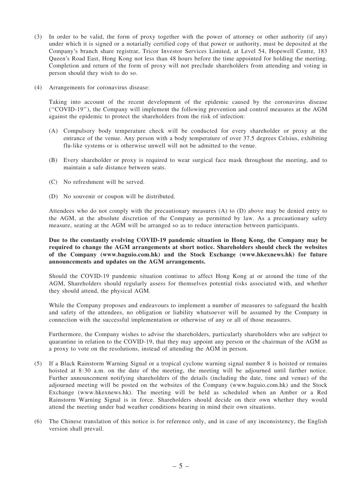- (3) In order to be valid, the form of proxy together with the power of attorney or other authority (if any) under which it is signed or a notarially certified copy of that power or authority, must be deposited at the Company's branch share registrar, Tricor Investor Services Limited, at Level 54, Hopewell Centre, 183 Queen's Road East, Hong Kong not less than 48 hours before the time appointed for holding the meeting. Completion and return of the form of proxy will not preclude shareholders from attending and voting in person should they wish to do so.
- (4) Arrangements for coronavirus disease:

Taking into account of the recent development of the epidemic caused by the coronavirus disease (''COVID-19''), the Company will implement the following prevention and control measures at the AGM against the epidemic to protect the shareholders from the risk of infection:

- (A) Compulsory body temperature check will be conducted for every shareholder or proxy at the entrance of the venue. Any person with a body temperature of over 37.5 degrees Celsius, exhibiting flu-like systems or is otherwise unwell will not be admitted to the venue.
- (B) Every shareholder or proxy is required to wear surgical face mask throughout the meeting, and to maintain a safe distance between seats.
- (C) No refreshment will be served.
- (D) No souvenir or coupon will be distributed.

Attendees who do not comply with the precautionary measures (A) to (D) above may be denied entry to the AGM, at the absolute discretion of the Company as permitted by law. As a precautionary safety measure, seating at the AGM will be arranged so as to reduce interaction between participants.

#### Due to the constantly evolving COVID-19 pandemic situation in Hong Kong, the Company may be required to change the AGM arrangements at short notice. Shareholders should check the websites of the Company (www.baguio.com.hk) and the Stock Exchange (www.hkexnews.hk) for future announcements and updates on the AGM arrangements.

Should the COVID-19 pandemic situation continue to affect Hong Kong at or around the time of the AGM, Shareholders should regularly assess for themselves potential risks associated with, and whether they should attend, the physical AGM.

While the Company proposes and endeavours to implement a number of measures to safeguard the health and safety of the attendees, no obligation or liability whatsoever will be assumed by the Company in connection with the successful implementation or otherwise of any or all of those measures.

Furthermore, the Company wishes to advise the shareholders, particularly shareholders who are subject to quarantine in relation to the COVID-19, that they may appoint any person or the chairman of the AGM as a proxy to vote on the resolutions, instead of attending the AGM in person.

- (5) If a Black Rainstorm Warning Signal or a tropical cyclone warning signal number 8 is hoisted or remains hoisted at 8:30 a.m. on the date of the meeting, the meeting will be adjourned until further notice. Further announcement notifying shareholders of the details (including the date, time and venue) of the adjourned meeting will be posted on the websites of the Company (www.baguio.com.hk) and the Stock Exchange (www.hkexnews.hk). The meeting will be held as scheduled when an Amber or a Red Rainstorm Warning Signal is in force. Shareholders should decide on their own whether they would attend the meeting under bad weather conditions bearing in mind their own situations.
- (6) The Chinese translation of this notice is for reference only, and in case of any inconsistency, the English version shall prevail.